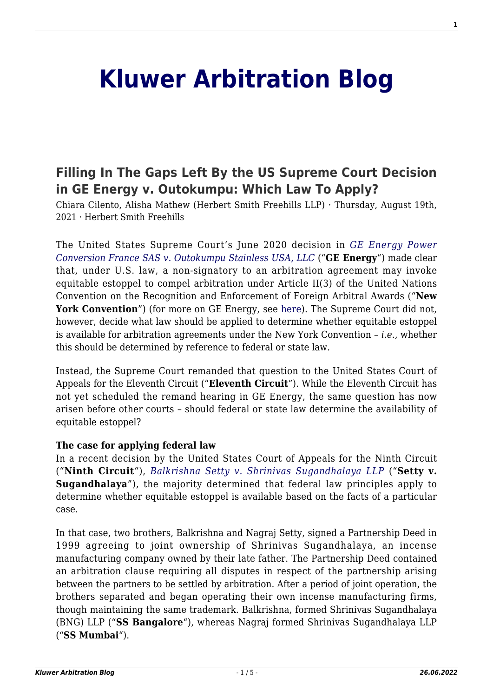# **[Kluwer Arbitration Blog](http://arbitrationblog.kluwerarbitration.com/)**

# **[Filling In The Gaps Left By the US Supreme Court Decision](http://arbitrationblog.kluwerarbitration.com/2021/08/19/filling-in-the-gaps-left-by-the-us-supreme-court-decision-in-ge-energy-v-outokumpu-which-law-to-apply/) [in GE Energy v. Outokumpu: Which Law To Apply?](http://arbitrationblog.kluwerarbitration.com/2021/08/19/filling-in-the-gaps-left-by-the-us-supreme-court-decision-in-ge-energy-v-outokumpu-which-law-to-apply/)**

Chiara Cilento, Alisha Mathew (Herbert Smith Freehills LLP) · Thursday, August 19th, 2021 · Herbert Smith Freehills

The United States Supreme Court's June 2020 decision in *[GE Energy Power](https://www.supremecourt.gov/opinions/19pdf/18-1048_8ok0.pdf) [Conversion France SAS v. Outokumpu Stainless USA, LLC](https://www.supremecourt.gov/opinions/19pdf/18-1048_8ok0.pdf)* ("**GE Energy**") made clear that, under U.S. law, a non-signatory to an arbitration agreement may invoke equitable estoppel to compel arbitration under Article II(3) of the United Nations Convention on the Recognition and Enforcement of Foreign Arbitral Awards ("**New** York Convention<sup>"</sup>) (for more on GE Energy, see [here](http://arbitrationblog.kluwerarbitration.com/2020/06/29/u-s-supreme-court-applies-international-law-without-saying-so-ge-energy-v-outokumpu-stainless/)). The Supreme Court did not, however, decide what law should be applied to determine whether equitable estoppel is available for arbitration agreements under the New York Convention – *i.e.*, whether this should be determined by reference to federal or state law.

Instead, the Supreme Court remanded that question to the United States Court of Appeals for the Eleventh Circuit ("**Eleventh Circuit**"). While the Eleventh Circuit has not yet scheduled the remand hearing in GE Energy, the same question has now arisen before other courts – should federal or state law determine the availability of equitable estoppel?

### **The case for applying federal law**

In a recent decision by the United States Court of Appeals for the Ninth Circuit ("**Ninth Circuit**"), *[Balkrishna Setty v. Shrinivas Sugandhalaya LLP](https://cdn.ca9.uscourts.gov/datastore/opinions/2021/07/07/18-35573.pdf)* ("**Setty v. Sugandhalaya**"), the majority determined that federal law principles apply to determine whether equitable estoppel is available based on the facts of a particular case.

In that case, two brothers, Balkrishna and Nagraj Setty, signed a Partnership Deed in 1999 agreeing to joint ownership of Shrinivas Sugandhalaya, an incense manufacturing company owned by their late father. The Partnership Deed contained an arbitration clause requiring all disputes in respect of the partnership arising between the partners to be settled by arbitration. After a period of joint operation, the brothers separated and began operating their own incense manufacturing firms, though maintaining the same trademark. Balkrishna, formed Shrinivas Sugandhalaya (BNG) LLP ("**SS Bangalore**"), whereas Nagraj formed Shrinivas Sugandhalaya LLP ("**SS Mumbai**").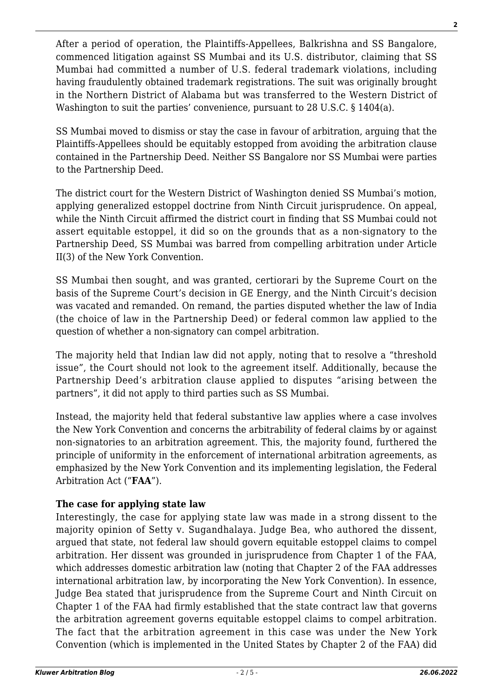After a period of operation, the Plaintiffs-Appellees, Balkrishna and SS Bangalore, commenced litigation against SS Mumbai and its U.S. distributor, claiming that SS Mumbai had committed a number of U.S. federal trademark violations, including having fraudulently obtained trademark registrations. The suit was originally brought in the Northern District of Alabama but was transferred to the Western District of Washington to suit the parties' convenience, pursuant to 28 U.S.C. § 1404(a).

SS Mumbai moved to dismiss or stay the case in favour of arbitration, arguing that the Plaintiffs-Appellees should be equitably estopped from avoiding the arbitration clause contained in the Partnership Deed. Neither SS Bangalore nor SS Mumbai were parties to the Partnership Deed.

The district court for the Western District of Washington denied SS Mumbai's motion, applying generalized estoppel doctrine from Ninth Circuit jurisprudence. On appeal, while the Ninth Circuit affirmed the district court in finding that SS Mumbai could not assert equitable estoppel, it did so on the grounds that as a non-signatory to the Partnership Deed, SS Mumbai was barred from compelling arbitration under Article II(3) of the New York Convention.

SS Mumbai then sought, and was granted, certiorari by the Supreme Court on the basis of the Supreme Court's decision in GE Energy, and the Ninth Circuit's decision was vacated and remanded. On remand, the parties disputed whether the law of India (the choice of law in the Partnership Deed) or federal common law applied to the question of whether a non-signatory can compel arbitration.

The majority held that Indian law did not apply, noting that to resolve a "threshold issue", the Court should not look to the agreement itself. Additionally, because the Partnership Deed's arbitration clause applied to disputes "arising between the partners", it did not apply to third parties such as SS Mumbai.

Instead, the majority held that federal substantive law applies where a case involves the New York Convention and concerns the arbitrability of federal claims by or against non-signatories to an arbitration agreement. This, the majority found, furthered the principle of uniformity in the enforcement of international arbitration agreements, as emphasized by the New York Convention and its implementing legislation, the Federal Arbitration Act ("**FAA**").

# **The case for applying state law**

Interestingly, the case for applying state law was made in a strong dissent to the majority opinion of Setty v. Sugandhalaya. Judge Bea, who authored the dissent, argued that state, not federal law should govern equitable estoppel claims to compel arbitration. Her dissent was grounded in jurisprudence from Chapter 1 of the FAA, which addresses domestic arbitration law (noting that Chapter 2 of the FAA addresses international arbitration law, by incorporating the New York Convention). In essence, Judge Bea stated that jurisprudence from the Supreme Court and Ninth Circuit on Chapter 1 of the FAA had firmly established that the state contract law that governs the arbitration agreement governs equitable estoppel claims to compel arbitration. The fact that the arbitration agreement in this case was under the New York Convention (which is implemented in the United States by Chapter 2 of the FAA) did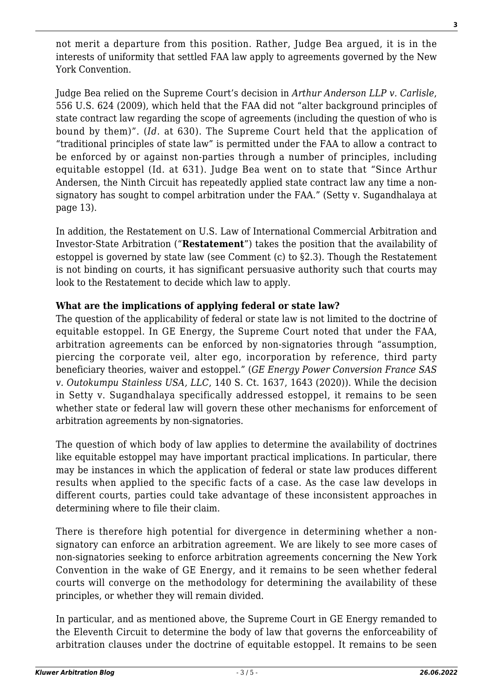not merit a departure from this position. Rather, Judge Bea argued, it is in the interests of uniformity that settled FAA law apply to agreements governed by the New York Convention.

Judge Bea relied on the Supreme Court's decision in *Arthur Anderson LLP v. Carlisle*, 556 U.S. 624 (2009), which held that the FAA did not "alter background principles of state contract law regarding the scope of agreements (including the question of who is bound by them)". (*Id.* at 630). The Supreme Court held that the application of "traditional principles of state law" is permitted under the FAA to allow a contract to be enforced by or against non-parties through a number of principles, including equitable estoppel (Id. at 631). Judge Bea went on to state that "Since Arthur Andersen, the Ninth Circuit has repeatedly applied state contract law any time a nonsignatory has sought to compel arbitration under the FAA." (Setty v. Sugandhalaya at page 13).

In addition, the Restatement on U.S. Law of International Commercial Arbitration and Investor-State Arbitration ("**Restatement**") takes the position that the availability of estoppel is governed by state law (see Comment (c) to §2.3). Though the Restatement is not binding on courts, it has significant persuasive authority such that courts may look to the Restatement to decide which law to apply.

# **What are the implications of applying federal or state law?**

The question of the applicability of federal or state law is not limited to the doctrine of equitable estoppel. In GE Energy, the Supreme Court noted that under the FAA, arbitration agreements can be enforced by non-signatories through "assumption, piercing the corporate veil, alter ego, incorporation by reference, third party beneficiary theories, waiver and estoppel." (*GE Energy Power Conversion France SAS v. Outokumpu Stainless USA, LLC*, 140 S. Ct. 1637, 1643 (2020)). While the decision in Setty v. Sugandhalaya specifically addressed estoppel, it remains to be seen whether state or federal law will govern these other mechanisms for enforcement of arbitration agreements by non-signatories.

The question of which body of law applies to determine the availability of doctrines like equitable estoppel may have important practical implications. In particular, there may be instances in which the application of federal or state law produces different results when applied to the specific facts of a case. As the case law develops in different courts, parties could take advantage of these inconsistent approaches in determining where to file their claim.

There is therefore high potential for divergence in determining whether a nonsignatory can enforce an arbitration agreement. We are likely to see more cases of non-signatories seeking to enforce arbitration agreements concerning the New York Convention in the wake of GE Energy, and it remains to be seen whether federal courts will converge on the methodology for determining the availability of these principles, or whether they will remain divided.

In particular, and as mentioned above, the Supreme Court in GE Energy remanded to the Eleventh Circuit to determine the body of law that governs the enforceability of arbitration clauses under the doctrine of equitable estoppel. It remains to be seen

**3**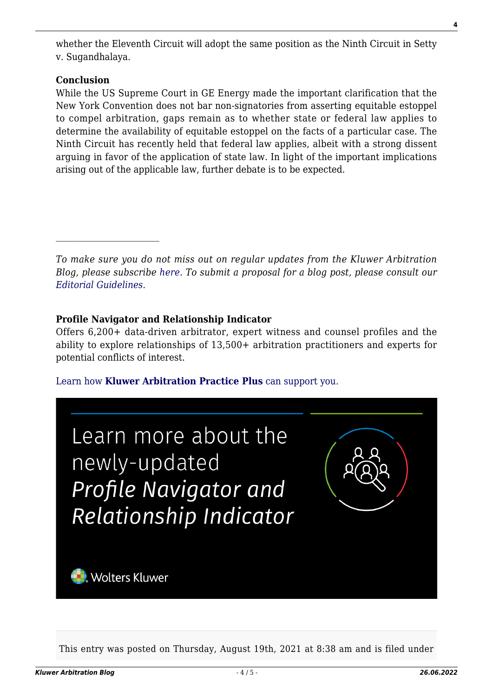whether the Eleventh Circuit will adopt the same position as the Ninth Circuit in Setty v. Sugandhalaya.

#### **Conclusion**

While the US Supreme Court in GE Energy made the important clarification that the New York Convention does not bar non-signatories from asserting equitable estoppel to compel arbitration, gaps remain as to whether state or federal law applies to determine the availability of equitable estoppel on the facts of a particular case. The Ninth Circuit has recently held that federal law applies, albeit with a strong dissent arguing in favor of the application of state law. In light of the important implications arising out of the applicable law, further debate is to be expected.

*To make sure you do not miss out on regular updates from the Kluwer Arbitration Blog, please subscribe [here](http://arbitrationblog.kluwerarbitration.com/newsletter/). To submit a proposal for a blog post, please consult our [Editorial Guidelines.](http://arbitrationblog.kluwerarbitration.com/editorial-guidelines/)*

### **Profile Navigator and Relationship Indicator**

Offers 6,200+ data-driven arbitrator, expert witness and counsel profiles and the ability to explore relationships of 13,500+ arbitration practitioners and experts for potential conflicts of interest.

[Learn how](https://www.wolterskluwer.com/en/solutions/kluwerarbitration/practiceplus?utm_source=arbitrationblog&utm_medium=articleCTA&utm_campaign=article-banner) **[Kluwer Arbitration Practice Plus](https://www.wolterskluwer.com/en/solutions/kluwerarbitration/practiceplus?utm_source=arbitrationblog&utm_medium=articleCTA&utm_campaign=article-banner)** [can support you.](https://www.wolterskluwer.com/en/solutions/kluwerarbitration/practiceplus?utm_source=arbitrationblog&utm_medium=articleCTA&utm_campaign=article-banner)



This entry was posted on Thursday, August 19th, 2021 at 8:38 am and is filed under